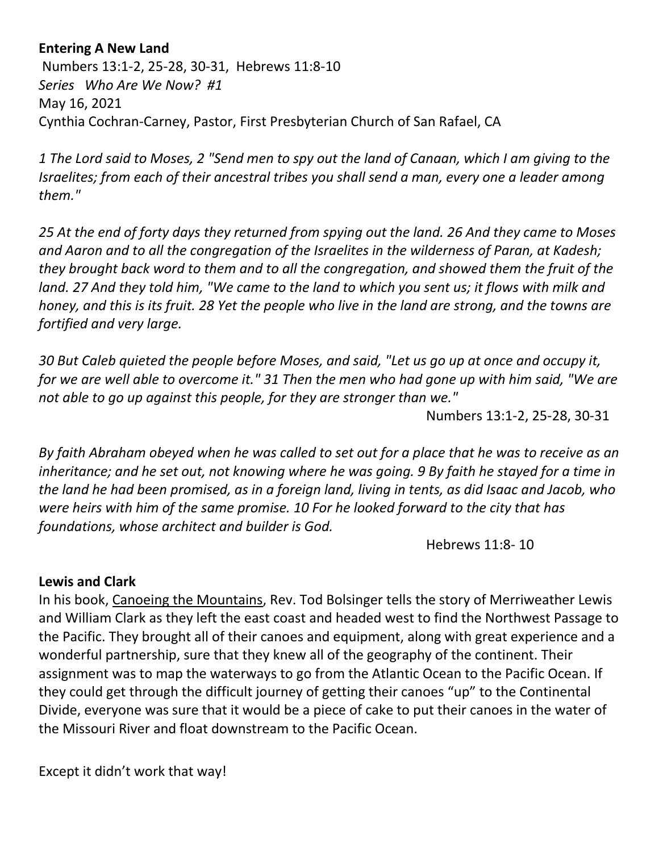## **Entering A New Land**

Numbers 13:1-2, 25-28, 30-31, Hebrews 11:8-10 *Series Who Are We Now? #1* May 16, 2021 Cynthia Cochran-Carney, Pastor, First Presbyterian Church of San Rafael, CA

*1 The Lord said to Moses, 2 "Send men to spy out the land of Canaan, which I am giving to the Israelites; from each of their ancestral tribes you shall send a man, every one a leader among them."* 

*25 At the end of forty days they returned from spying out the land. 26 And they came to Moses and Aaron and to all the congregation of the Israelites in the wilderness of Paran, at Kadesh; they brought back word to them and to all the congregation, and showed them the fruit of the land. 27 And they told him, "We came to the land to which you sent us; it flows with milk and honey, and this is its fruit. 28 Yet the people who live in the land are strong, and the towns are fortified and very large.*

*30 But Caleb quieted the people before Moses, and said, "Let us go up at once and occupy it, for we are well able to overcome it." 31 Then the men who had gone up with him said, "We are not able to go up against this people, for they are stronger than we."* 

Numbers 13:1-2, 25-28, 30-31

*By faith Abraham obeyed when he was called to set out for a place that he was to receive as an inheritance; and he set out, not knowing where he was going. 9 By faith he stayed for a time in the land he had been promised, as in a foreign land, living in tents, as did Isaac and Jacob, who were heirs with him of the same promise. 10 For he looked forward to the city that has foundations, whose architect and builder is God.*

Hebrews 11:8- 10

## **Lewis and Clark**

In his book, Canoeing the Mountains, Rev. Tod Bolsinger tells the story of Merriweather Lewis and William Clark as they left the east coast and headed west to find the Northwest Passage to the Pacific. They brought all of their canoes and equipment, along with great experience and a wonderful partnership, sure that they knew all of the geography of the continent. Their assignment was to map the waterways to go from the Atlantic Ocean to the Pacific Ocean. If they could get through the difficult journey of getting their canoes "up" to the Continental Divide, everyone was sure that it would be a piece of cake to put their canoes in the water of the Missouri River and float downstream to the Pacific Ocean.

Except it didn't work that way!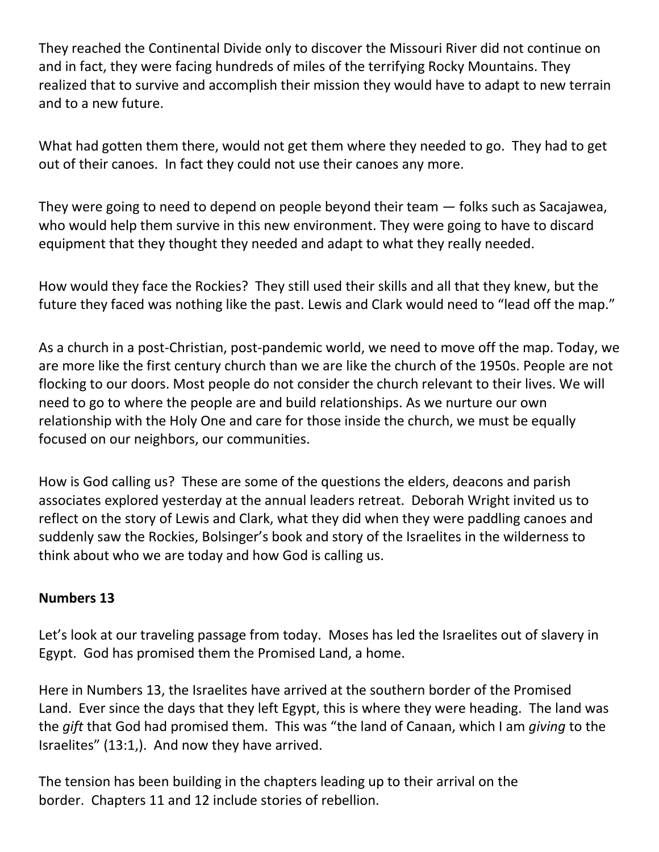They reached the Continental Divide only to discover the Missouri River did not continue on and in fact, they were facing hundreds of miles of the terrifying Rocky Mountains. They realized that to survive and accomplish their mission they would have to adapt to new terrain and to a new future.

What had gotten them there, would not get them where they needed to go. They had to get out of their canoes. In fact they could not use their canoes any more.

They were going to need to depend on people beyond their team — folks such as Sacajawea, who would help them survive in this new environment. They were going to have to discard equipment that they thought they needed and adapt to what they really needed.

How would they face the Rockies? They still used their skills and all that they knew, but the future they faced was nothing like the past. Lewis and Clark would need to "lead off the map."

As a church in a post-Christian, post-pandemic world, we need to move off the map. Today, we are more like the first century church than we are like the church of the 1950s. People are not flocking to our doors. Most people do not consider the church relevant to their lives. We will need to go to where the people are and build relationships. As we nurture our own relationship with the Holy One and care for those inside the church, we must be equally focused on our neighbors, our communities.

How is God calling us? These are some of the questions the elders, deacons and parish associates explored yesterday at the annual leaders retreat. Deborah Wright invited us to reflect on the story of Lewis and Clark, what they did when they were paddling canoes and suddenly saw the Rockies, Bolsinger's book and story of the Israelites in the wilderness to think about who we are today and how God is calling us.

## **Numbers 13**

Let's look at our traveling passage from today. Moses has led the Israelites out of slavery in Egypt. God has promised them the Promised Land, a home.

Here in Numbers 13, the Israelites have arrived at the southern border of the Promised Land. Ever since the days that they left Egypt, this is where they were heading. The land was the *gift* that God had promised them. This was "the land of Canaan, which I am *giving* to the Israelites" (13:1,). And now they have arrived.

The tension has been building in the chapters leading up to their arrival on the border. Chapters 11 and 12 include stories of rebellion.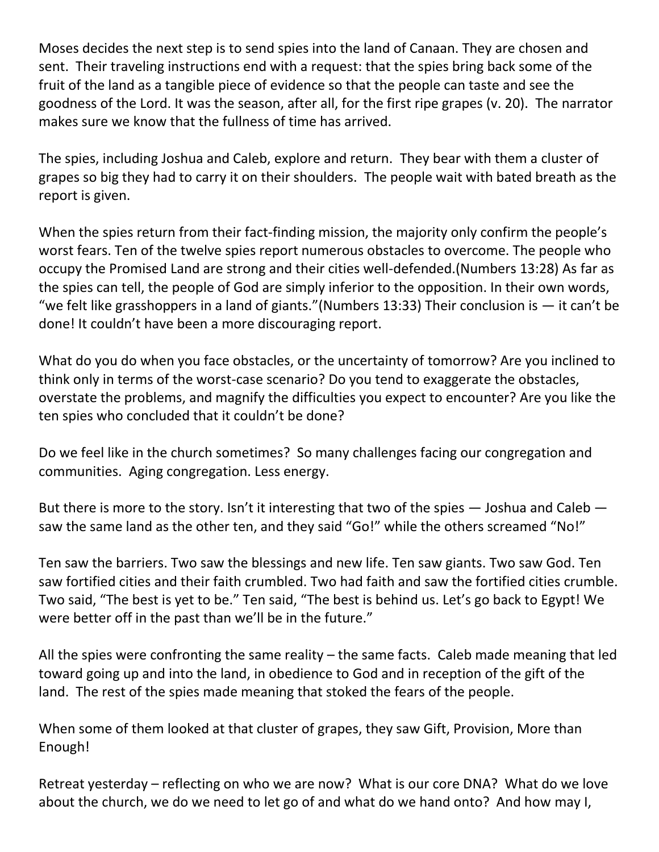Moses decides the next step is to send spies into the land of Canaan. They are chosen and sent. Their traveling instructions end with a request: that the spies bring back some of the fruit of the land as a tangible piece of evidence so that the people can taste and see the goodness of the Lord. It was the season, after all, for the first ripe grapes (v. 20). The narrator makes sure we know that the fullness of time has arrived.

The spies, including Joshua and Caleb, explore and return. They bear with them a cluster of grapes so big they had to carry it on their shoulders. The people wait with bated breath as the report is given.

When the spies return from their fact-finding mission, the majority only confirm the people's worst fears. Ten of the twelve spies report numerous obstacles to overcome. The people who occupy the Promised Land are strong and their cities well-defended.(Numbers 13:28) As far as the spies can tell, the people of God are simply inferior to the opposition. In their own words, "we felt like grasshoppers in a land of giants." (Numbers 13:33) Their conclusion is  $-$  it can't be done! It couldn't have been a more discouraging report.

What do you do when you face obstacles, or the uncertainty of tomorrow? Are you inclined to think only in terms of the worst-case scenario? Do you tend to exaggerate the obstacles, overstate the problems, and magnify the difficulties you expect to encounter? Are you like the ten spies who concluded that it couldn't be done?

Do we feel like in the church sometimes? So many challenges facing our congregation and communities. Aging congregation. Less energy.

But there is more to the story. Isn't it interesting that two of the spies  $-$  Joshua and Caleb  $$ saw the same land as the other ten, and they said "Go!" while the others screamed "No!"

Ten saw the barriers. Two saw the blessings and new life. Ten saw giants. Two saw God. Ten saw fortified cities and their faith crumbled. Two had faith and saw the fortified cities crumble. Two said, "The best is yet to be." Ten said, "The best is behind us. Let's go back to Egypt! We were better off in the past than we'll be in the future."

All the spies were confronting the same reality – the same facts. Caleb made meaning that led toward going up and into the land, in obedience to God and in reception of the gift of the land. The rest of the spies made meaning that stoked the fears of the people.

When some of them looked at that cluster of grapes, they saw Gift, Provision, More than Enough!

Retreat yesterday – reflecting on who we are now? What is our core DNA? What do we love about the church, we do we need to let go of and what do we hand onto? And how may I,